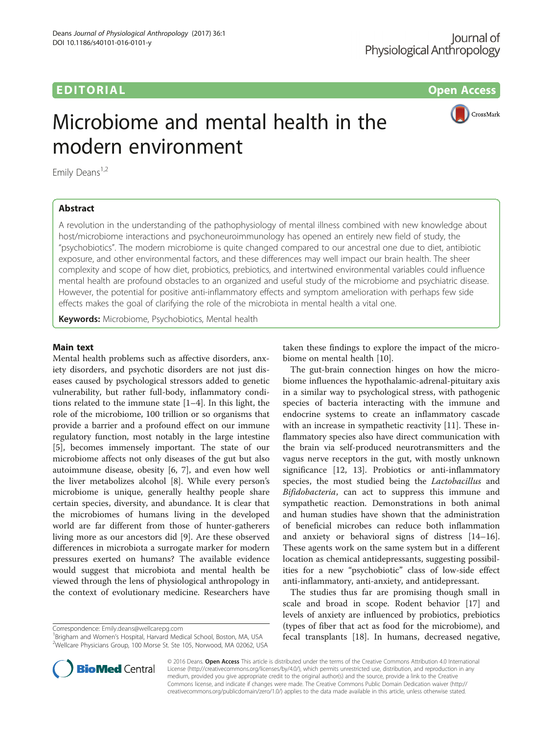# EDITORIAL AND INTERNATIONAL CONTRACT CONTRACT CONTRACT CONTRACT CONTRACT CONTRACT CONTRACT CONTRACT CONTRACT CO

CrossMark

# Microbiome and mental health in the modern environment

Emily Deans<sup>1,2</sup>

### Abstract

A revolution in the understanding of the pathophysiology of mental illness combined with new knowledge about host/microbiome interactions and psychoneuroimmunology has opened an entirely new field of study, the "psychobiotics". The modern microbiome is quite changed compared to our ancestral one due to diet, antibiotic exposure, and other environmental factors, and these differences may well impact our brain health. The sheer complexity and scope of how diet, probiotics, prebiotics, and intertwined environmental variables could influence mental health are profound obstacles to an organized and useful study of the microbiome and psychiatric disease. However, the potential for positive anti-inflammatory effects and symptom amelioration with perhaps few side effects makes the goal of clarifying the role of the microbiota in mental health a vital one.

Keywords: Microbiome, Psychobiotics, Mental health

#### Main text

Mental health problems such as affective disorders, anxiety disorders, and psychotic disorders are not just diseases caused by psychological stressors added to genetic vulnerability, but rather full-body, inflammatory conditions related to the immune state [\[1](#page-1-0)–[4\]](#page-2-0). In this light, the role of the microbiome, 100 trillion or so organisms that provide a barrier and a profound effect on our immune regulatory function, most notably in the large intestine [[5\]](#page-2-0), becomes immensely important. The state of our microbiome affects not only diseases of the gut but also autoimmune disease, obesity [\[6](#page-2-0), [7](#page-2-0)], and even how well the liver metabolizes alcohol [\[8\]](#page-2-0). While every person's microbiome is unique, generally healthy people share certain species, diversity, and abundance. It is clear that the microbiomes of humans living in the developed world are far different from those of hunter-gatherers living more as our ancestors did [\[9](#page-2-0)]. Are these observed differences in microbiota a surrogate marker for modern pressures exerted on humans? The available evidence would suggest that microbiota and mental health be viewed through the lens of physiological anthropology in the context of evolutionary medicine. Researchers have

Correspondence: [Emily.deans@wellcarepg.com](mailto:Emily.deans@wellcarepg.com) <sup>1</sup>

<sup>1</sup> Brigham and Women's Hospital, Harvard Medical School, Boston, MA, USA <sup>2</sup>Wellcare Physicians Group, 100 Morse St. Ste 105, Norwood, MA 02062, USA



The gut-brain connection hinges on how the microbiome influences the hypothalamic-adrenal-pituitary axis in a similar way to psychological stress, with pathogenic species of bacteria interacting with the immune and endocrine systems to create an inflammatory cascade with an increase in sympathetic reactivity [\[11](#page-2-0)]. These inflammatory species also have direct communication with the brain via self-produced neurotransmitters and the vagus nerve receptors in the gut, with mostly unknown significance [[12, 13](#page-2-0)]. Probiotics or anti-inflammatory species, the most studied being the *Lactobacillus* and Bifidobacteria, can act to suppress this immune and sympathetic reaction. Demonstrations in both animal and human studies have shown that the administration of beneficial microbes can reduce both inflammation and anxiety or behavioral signs of distress [[14](#page-2-0)–[16](#page-2-0)]. These agents work on the same system but in a different location as chemical antidepressants, suggesting possibilities for a new "psychobiotic" class of low-side effect anti-inflammatory, anti-anxiety, and antidepressant.

The studies thus far are promising though small in scale and broad in scope. Rodent behavior [[17](#page-2-0)] and levels of anxiety are influenced by probiotics, prebiotics (types of fiber that act as food for the microbiome), and fecal transplants [[18](#page-2-0)]. In humans, decreased negative,



© 2016 Deans. Open Access This article is distributed under the terms of the Creative Commons Attribution 4.0 International License ([http://creativecommons.org/licenses/by/4.0/\)](http://creativecommons.org/licenses/by/4.0/), which permits unrestricted use, distribution, and reproduction in any medium, provided you give appropriate credit to the original author(s) and the source, provide a link to the Creative Commons license, and indicate if changes were made. The Creative Commons Public Domain Dedication waiver ([http://](http://creativecommons.org/publicdomain/zero/1.0/) [creativecommons.org/publicdomain/zero/1.0/\)](http://creativecommons.org/publicdomain/zero/1.0/) applies to the data made available in this article, unless otherwise stated.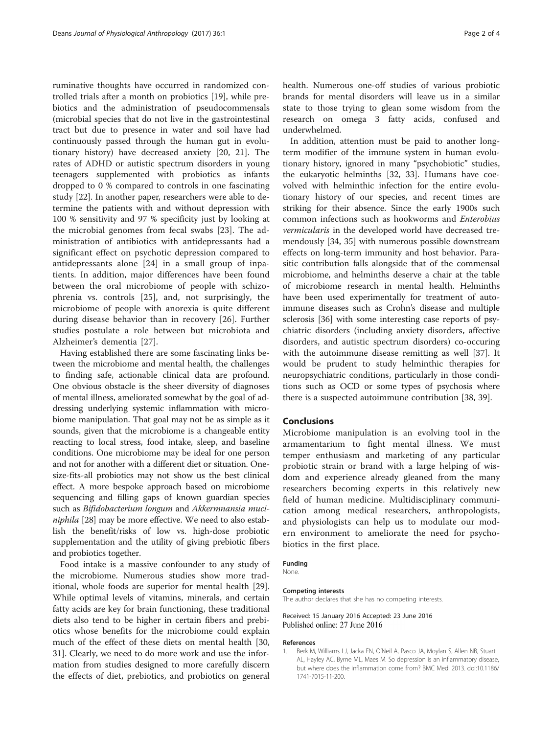<span id="page-1-0"></span>ruminative thoughts have occurred in randomized controlled trials after a month on probiotics [\[19](#page-2-0)], while prebiotics and the administration of pseudocommensals (microbial species that do not live in the gastrointestinal tract but due to presence in water and soil have had continuously passed through the human gut in evolutionary history) have decreased anxiety [[20, 21](#page-2-0)]. The rates of ADHD or autistic spectrum disorders in young teenagers supplemented with probiotics as infants dropped to 0 % compared to controls in one fascinating study [[22](#page-2-0)]. In another paper, researchers were able to determine the patients with and without depression with 100 % sensitivity and 97 % specificity just by looking at the microbial genomes from fecal swabs [\[23](#page-2-0)]. The administration of antibiotics with antidepressants had a significant effect on psychotic depression compared to antidepressants alone [[24](#page-2-0)] in a small group of inpatients. In addition, major differences have been found between the oral microbiome of people with schizophrenia vs. controls [[25\]](#page-2-0), and, not surprisingly, the microbiome of people with anorexia is quite different during disease behavior than in recovery [[26\]](#page-2-0). Further studies postulate a role between but microbiota and Alzheimer's dementia [[27\]](#page-2-0).

Having established there are some fascinating links between the microbiome and mental health, the challenges to finding safe, actionable clinical data are profound. One obvious obstacle is the sheer diversity of diagnoses of mental illness, ameliorated somewhat by the goal of addressing underlying systemic inflammation with microbiome manipulation. That goal may not be as simple as it sounds, given that the microbiome is a changeable entity reacting to local stress, food intake, sleep, and baseline conditions. One microbiome may be ideal for one person and not for another with a different diet or situation. Onesize-fits-all probiotics may not show us the best clinical effect. A more bespoke approach based on microbiome sequencing and filling gaps of known guardian species such as Bifidobacterium longum and Akkermnansia muciniphila [\[28\]](#page-2-0) may be more effective. We need to also establish the benefit/risks of low vs. high-dose probiotic supplementation and the utility of giving prebiotic fibers and probiotics together.

Food intake is a massive confounder to any study of the microbiome. Numerous studies show more traditional, whole foods are superior for mental health [\[29](#page-2-0)]. While optimal levels of vitamins, minerals, and certain fatty acids are key for brain functioning, these traditional diets also tend to be higher in certain fibers and prebiotics whose benefits for the microbiome could explain much of the effect of these diets on mental health [[30](#page-2-0), [31\]](#page-2-0). Clearly, we need to do more work and use the information from studies designed to more carefully discern the effects of diet, prebiotics, and probiotics on general health. Numerous one-off studies of various probiotic brands for mental disorders will leave us in a similar state to those trying to glean some wisdom from the research on omega 3 fatty acids, confused and underwhelmed.

In addition, attention must be paid to another longterm modifier of the immune system in human evolutionary history, ignored in many "psychobiotic" studies, the eukaryotic helminths [[32](#page-2-0), [33\]](#page-2-0). Humans have coevolved with helminthic infection for the entire evolutionary history of our species, and recent times are striking for their absence. Since the early 1900s such common infections such as hookworms and Enterobius vermicularis in the developed world have decreased tremendously [[34](#page-2-0), [35\]](#page-2-0) with numerous possible downstream effects on long-term immunity and host behavior. Parasitic contribution falls alongside that of the commensal microbiome, and helminths deserve a chair at the table of microbiome research in mental health. Helminths have been used experimentally for treatment of autoimmune diseases such as Crohn's disease and multiple sclerosis [[36\]](#page-2-0) with some interesting case reports of psychiatric disorders (including anxiety disorders, affective disorders, and autistic spectrum disorders) co-occuring with the autoimmune disease remitting as well [[37](#page-2-0)]. It would be prudent to study helminthic therapies for neuropsychiatric conditions, particularly in those conditions such as OCD or some types of psychosis where there is a suspected autoimmune contribution [\[38](#page-2-0), [39](#page-3-0)].

#### Conclusions

Microbiome manipulation is an evolving tool in the armamentarium to fight mental illness. We must temper enthusiasm and marketing of any particular probiotic strain or brand with a large helping of wisdom and experience already gleaned from the many researchers becoming experts in this relatively new field of human medicine. Multidisciplinary communication among medical researchers, anthropologists, and physiologists can help us to modulate our modern environment to ameliorate the need for psychobiotics in the first place.

#### Funding

**None** 

#### Competing interests

The author declares that she has no competing interests.

Received: 15 January 2016 Accepted: 23 June 2016 Published online: 27 June 2016

#### References

1. Berk M, Williams LJ, Jacka FN, O'Neil A, Pasco JA, Moylan S, Allen NB, Stuart AL, Hayley AC, Byrne ML, Maes M. So depression is an inflammatory disease, but where does the inflammation come from? BMC Med. 2013. doi:[10.1186/](http://dx.doi.org/10.1186/1741-7015-11-200) [1741-7015-11-200](http://dx.doi.org/10.1186/1741-7015-11-200).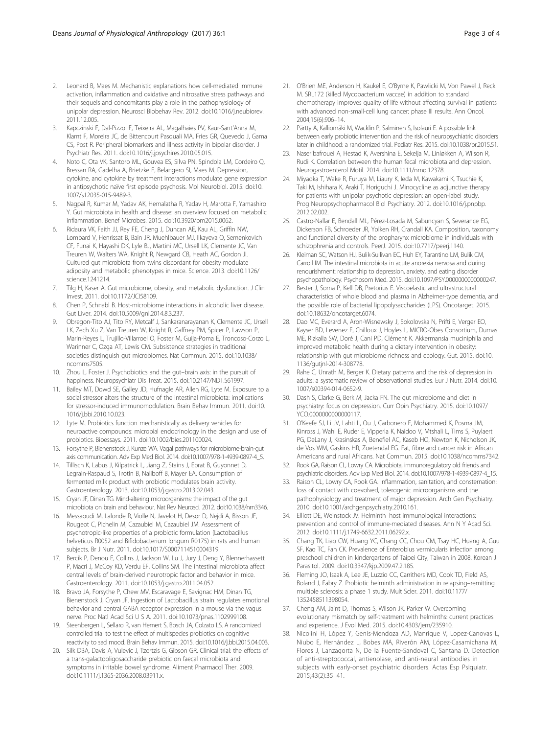- <span id="page-2-0"></span>2. Leonard B, Maes M. Mechanistic explanations how cell-mediated immune activation, inflammation and oxidative and nitrosative stress pathways and their sequels and concomitants play a role in the pathophysiology of unipolar depression. Neurosci Biobehav Rev. 2012. doi[:10.1016/j.neubiorev.](http://dx.doi.org/10.1016/j.neubiorev.2011.12.005) [2011.12.005.](http://dx.doi.org/10.1016/j.neubiorev.2011.12.005)
- 3. Kapczinski F, Dal-Pizzol F, Teixeira AL, Magalhaies PV, Kaur-Sant'Anna M, Klamt F, Moreira JC, de Bittencourt Pasquali MA, Fries GR, Quevedo J, Gama CS, Post R. Peripheral biomarkers and illness activity in bipolar disorder. J Psychiatr Res. 2011. doi[:10.1016/j.jpsychires.2010.05.015.](http://dx.doi.org/10.1016/j.jpsychires.2010.05.015)
- 4. Noto C, Ota VK, Santoro ML, Gouvea ES, Silva PN, Spindola LM, Cordeiro Q, Bressan RA, Gadelha A, Brietzke E, Belangero SI, Maes M. Depression, cytokine, and cytokine by treatment interactions modulate gene expression in antipsychotic naïve first episode psychosis. Mol Neurobiol. 2015. doi:[10.](http://dx.doi.org/10.1007/s12035-015-9489-3) [1007/s12035-015-9489-3.](http://dx.doi.org/10.1007/s12035-015-9489-3)
- 5. Nagpal R, Kumar M, Yadav AK, Hemalatha R, Yadav H, Marotta F, Yamashiro Y. Gut microbiota in health and disease: an overview focused on metabolic inflammation. Benef Microbes. 2015. doi[:10.3920/bm2015.0062.](http://dx.doi.org/10.3920/bm2015.0062)
- Ridaura VK, Faith JJ, Rey FE, Cheng J, Duncan AE, Kau AL, Griffin NW, Lombard V, Henrissat B, Bain JR, Muehlbauer MJ, Ilkayeva O, Semenkovich CF, Funai K, Hayashi DK, Lyle BJ, Martini MC, Ursell LK, Clemente JC, Van Treuren W, Walters WA, Knight R, Newgard CB, Heath AC, Gordon JI. Cultured gut microbiota from twins discordant for obesity modulate adiposity and metabolic phenotypes in mice. Science. 2013. doi[:10.1126/](http://dx.doi.org/10.1126/science.1241214) [science.1241214.](http://dx.doi.org/10.1126/science.1241214)
- Tilg H, Kaser A. Gut microbiome, obesity, and metabolic dysfunction. J Clin Invest. 2011. doi:[10.1172/JCI58109](http://dx.doi.org/10.1172/JCI58109).
- 8. Chen P, Schnabl B. Host-microbiome interactions in alcoholic liver disease. Gut Liver. 2014. doi:[10.5009/gnl.2014.8.3.237.](http://dx.doi.org/10.5009/gnl.2014.8.3.237)
- 9. Obregon-Tito AJ, Tito RY, Metcalf J, Sankaranarayanan K, Clemente JC, Ursell LK, Zech Xu Z, Van Treuren W, Knight R, Gaffney PM, Spicer P, Lawson P, Marin-Reyes L, Trujillo-Villarroel O, Foster M, Guija-Poma E, Troncoso-Corzo L, Warinner C, Ozga AT, Lewis CM. Subsistence strategies in traditional societies distinguish gut microbiomes. Nat Commun. 2015. doi:[10.1038/](http://dx.doi.org/10.1038/ncomms7505) [ncomms7505](http://dx.doi.org/10.1038/ncomms7505).
- 10. Zhou L, Foster J. Psychobiotics and the gut–brain axis: in the pursuit of happiness. Neuropsychiatr Dis Treat. 2015. doi[:10.2147/NDT.S61997](http://dx.doi.org/10.2147/NDT.S61997).
- 11. Bailey MT, Dowd SE, Galley JD, Hufnagle AR, Allen RG, Lyte M. Exposure to a social stressor alters the structure of the intestinal microbiota: implications for stressor-induced immunomodulation. Brain Behav Immun. 2011. doi:[10.](http://dx.doi.org/10.1016/j.bbi.2010.10.023) [1016/j.bbi.2010.10.023.](http://dx.doi.org/10.1016/j.bbi.2010.10.023)
- 12. Lyte M. Probiotics function mechanistically as delivery vehicles for neuroactive compounds: microbial endocrinology in the design and use of probiotics. Bioessays. 2011. doi[:10.1002/bies.201100024.](http://dx.doi.org/10.1002/bies.201100024)
- 13. Forsythe P, Bienenstock J, Kunze WA. Vagal pathways for microbiome-brain-gut axis communication. Adv Exp Med Biol. 2014. doi:[10.1007/978-1-4939-0897-4\\_5](http://dx.doi.org/10.1007/978-1-4939-0897-4_5).
- 14. Tillisch K, Labus J, Kilpatrick L, Jiang Z, Stains J, Ebrat B, Guyonnet D, Legrain-Raspaud S, Trotin B, Naliboff B, Mayer EA. Consumption of fermented milk product with probiotic modulates brain activity. Gastroenterology. 2013. doi[:10.1053/j.gastro.2013.02.043](http://dx.doi.org/10.1053/j.gastro.2013.02.043).
- 15. Cryan JF, Dinan TG. Mind-altering microorganisms: the impact of the gut microbiota on brain and behaviour. Nat Rev Neurosci. 2012. doi[:10.1038/nrn3346.](http://dx.doi.org/10.1038/nrn3346)
- 16. Messaoudi M, Lalonde R, Violle N, Javelot H, Desor D, Nejdi A, Bisson JF, Rougeot C, Pichelin M, Cazaubiel M, Cazaubiel JM. Assessment of psychotropic-like properties of a probiotic formulation (Lactobacillus helveticus R0052 and Bifidobacterium longum R0175) in rats and human subjects. Br J Nutr. 2011. doi[:10.1017/S0007114510004319](http://dx.doi.org/10.1017/S0007114510004319).
- 17. Bercik P, Denou E, Collins J, Jackson W, Lu J, Jury J, Deng Y, Blennerhassett P, Macri J, McCoy KD, Verdu EF, Collins SM. The intestinal microbiota affect central levels of brain-derived neurotropic factor and behavior in mice. Gastroenterology. 2011. doi[:10.1053/j.gastro.2011.04.052](http://dx.doi.org/10.1053/j.gastro.2011.04.052).
- 18. Bravo JA, Forsythe P, Chew MV, Escaravage E, Savignac HM, Dinan TG, Bienenstock J, Cryan JF. Ingestion of Lactobacillus strain regulates emotional behavior and central GABA receptor expression in a mouse via the vagus nerve. Proc Natl Acad Sci U S A. 2011. doi[:10.1073/pnas.1102999108](http://dx.doi.org/10.1073/pnas.1102999108).
- 19. Steenbergen L, Sellaro R, van Hemert S, Bosch JA, Colzato LS. A randomized controlled trial to test the effect of multispecies probiotics on cognitive reactivity to sad mood. Brain Behav Immun. 2015. doi[:10.1016/j.bbi.2015.04.003.](http://dx.doi.org/10.1016/j.bbi.2015.04.003)
- 20. Silk DBA, Davis A, Vulevic J, Tzortzis G, Gibson GR. Clinical trial: the effects of a trans-galactooligosaccharide prebiotic on faecal microbiota and symptoms in irritable bowel syndrome. Aliment Pharmacol Ther. 2009. doi[:10.1111/j.1365-2036.2008.03911.x](http://dx.doi.org/10.1111/j.1365-2036.2008.03911.x).
- 21. O'Brien ME, Anderson H, Kaukel E, O'Byrne K, Pawlicki M, Von Pawel J, Reck M. SRL172 (killed Mycobacterium vaccae) in addition to standard chemotherapy improves quality of life without affecting survival in patients with advanced non-small-cell lung cancer: phase III results. Ann Oncol. 2004;15(6):906–14.
- 22. Pärtty A, Kalliomäki M, Wacklin P, Salminen S, Isolauri E. A possible link between early probiotic intervention and the risk of neuropsychiatric disorders later in childhood: a randomized trial. Pediatr Res. 2015. doi[:10.1038/pr.2015.51.](http://dx.doi.org/10.1038/pr.2015.51)
- 23. Naseribafrouei A, Hestad K, Avershina E, Sekelja M, Linløkken A, Wilson R, Rudi K. Correlation between the human fecal microbiota and depression. Neurogastroenterol Motil. 2014. doi[:10.1111/nmo.12378.](http://dx.doi.org/10.1111/nmo.12378)
- 24. Miyaoka T, Wake R, Furuya M, Liaury K, Ieda M, Kawakami K, Tsuchie K, Taki M, Ishihara K, Araki T, Horiguchi J. Minocycline as adjunctive therapy for patients with unipolar psychotic depression: an open-label study. Prog Neuropsychopharmacol Biol Psychiatry. 2012. doi:[10.1016/j.pnpbp.](http://dx.doi.org/10.1016/j.pnpbp.2012.02.002) [2012.02.002.](http://dx.doi.org/10.1016/j.pnpbp.2012.02.002)
- 25. Castro-Nallar E, Bendall ML, Pérez-Losada M, Sabuncyan S, Severance EG, Dickerson FB, Schroeder JR, Yolken RH, Crandall KA. Composition, taxonomy and functional diversity of the oropharynx microbiome in individuals with schizophrenia and controls. PeerJ. 2015. doi:[10.7717/peerj.1140.](http://dx.doi.org/10.7717/peerj.1140)
- 26. Kleiman SC, Watson HJ, Bulik-Sullivan EC, Huh EY, Tarantino LM, Bulik CM, Carroll IM. The intestinal microbiota in acute anorexia nervosa and during renourishment: relationship to depression, anxiety, and eating disorder psychopathology. Psychosom Med. 2015. doi:[10.1097/PSY.0000000000000247](http://dx.doi.org/10.1097/PSY.0000000000000247).
- 27. Bester J, Soma P, Kell DB, Pretorius E. Viscoelastic and ultrastructural characteristics of whole blood and plasma in Alzheimer-type dementia, and the possible role of bacterial lipopolysaccharides (LPS). Oncotarget. 2015. doi[:10.18632/oncotarget.6074.](http://dx.doi.org/10.18632/oncotarget.6074)
- 28. Dao MC, Everard A, Aron-Wisnewsky J, Sokolovska N, Prifti E, Verger EO, Kayser BD, Levenez F, Chilloux J, Hoyles L, MICRO-Obes Consortium, Dumas ME, Rizkalla SW, Doré J, Cani PD, Clément K. Akkermansia muciniphila and improved metabolic health during a dietary intervention in obesity: relationship with gut microbiome richness and ecology. Gut. 2015. doi:[10.](http://dx.doi.org/10.1136/gutjnl-2014-308778) [1136/gutjnl-2014-308778.](http://dx.doi.org/10.1136/gutjnl-2014-308778)
- 29. Rahe C, Unrath M, Berger K. Dietary patterns and the risk of depression in adults: a systematic review of observational studies. Eur J Nutr. 2014. doi:[10.](http://dx.doi.org/10.1007/s00394-014-0652-9) [1007/s00394-014-0652-9](http://dx.doi.org/10.1007/s00394-014-0652-9).
- 30. Dash S, Clarke G, Berk M, Jacka FN. The gut microbiome and diet in psychiatry: focus on depression. Curr Opin Psychiatry. 2015. doi[:10.1097/](http://dx.doi.org/10.1097/YCO.0000000000000117) [YCO.0000000000000117.](http://dx.doi.org/10.1097/YCO.0000000000000117)
- 31. O'Keefe SJ, Li JV, Lahti L, Ou J, Carbonero F, Mohammed K, Posma JM, Kinross J, Wahl E, Ruder E, Vipperla K, Naidoo V, Mtshali L, Tims S, Puylaert PG, DeLany J, Krasinskas A, Benefiel AC, Kaseb HO, Newton K, Nicholson JK, de Vos WM, Gaskins HR, Zoetendal EG. Fat, fibre and cancer risk in African Americans and rural Africans. Nat Commun. 2015. doi[:10.1038/ncomms7342.](http://dx.doi.org/10.1038/ncomms7342)
- 32. Rook GA, Raison CL, Lowry CA. Microbiota, immunoregulatory old friends and psychiatric disorders. Adv Exp Med Biol. 2014. doi:[10.1007/978-1-4939-0897-4\\_15](http://dx.doi.org/10.1007/978-1-4939-0897-4_15).
- 33. Raison CL, Lowry CA, Rook GA. Inflammation, sanitation, and consternation: loss of contact with coevolved, tolerogenic microorganisms and the pathophysiology and treatment of major depression. Arch Gen Psychiatry. 2010. doi[:10.1001/archgenpsychiatry.2010.161](http://dx.doi.org/10.1001/archgenpsychiatry.2010.161).
- 34. Elliott DE, Weinstock JV. Helminth–host immunological interactions: prevention and control of immune-mediated diseases. Ann N Y Acad Sci. 2012. doi[:10.1111/j.1749-6632.2011.06292.x.](http://dx.doi.org/10.1111/j.1749-6632.2011.06292.x)
- 35. Chang TK, Liao CW, Huang YC, Chang CC, Chou CM, Tsay HC, Huang A, Guu SF, Kao TC, Fan CK. Prevalence of Enterobius vermicularis infection among preschool children in kindergartens of Taipei City, Taiwan in 2008. Korean J Parasitol. 2009. doi:[10.3347/kjp.2009.47.2.185](http://dx.doi.org/10.3347/kjp.2009.47.2.185).
- 36. Fleming JO, Isaak A, Lee JE, Luzzio CC, Carrithers MD, Cook TD, Field AS, Boland J, Fabry Z. Probiotic helminth administration in relapsing–remitting multiple sclerosis: a phase 1 study. Mult Scler. 2011. doi[:10.1177/](http://dx.doi.org/10.1177/1352458511398054) [1352458511398054](http://dx.doi.org/10.1177/1352458511398054).
- 37. Cheng AM, Jaint D, Thomas S, Wilson JK, Parker W. Overcoming evolutionary mismatch by self-treatment with helminths: current practices and experience. J Evol Med. 2015. doi:[10.4303/jem/235910.](http://dx.doi.org/10.4303/jem/235910)
- 38. Nicolini H, López Y, Genis-Mendoza AD, Manrique V, Lopez-Canovas L, Niubo E, Hernández L, Bobes MA, Riverón AM, López-Casamichana M, Flores J, Lanzagorta N, De la Fuente-Sandoval C, Santana D. Detection of anti-streptococcal, antienolase, and anti-neural antibodies in subjects with early-onset psychiatric disorders. Actas Esp Psiquiatr. 2015;43(2):35–41.